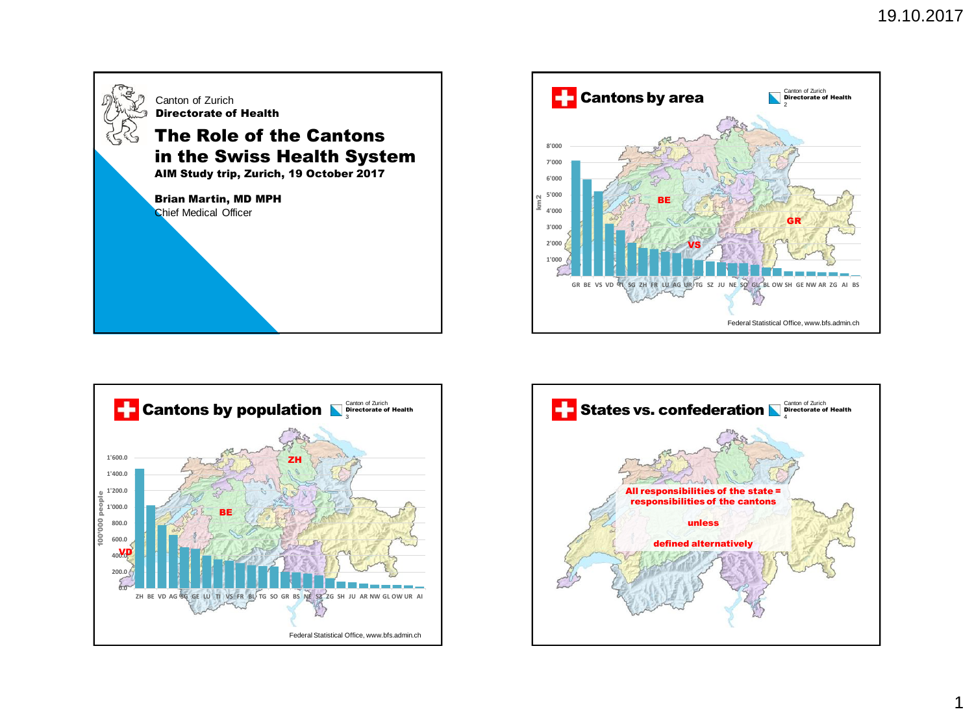





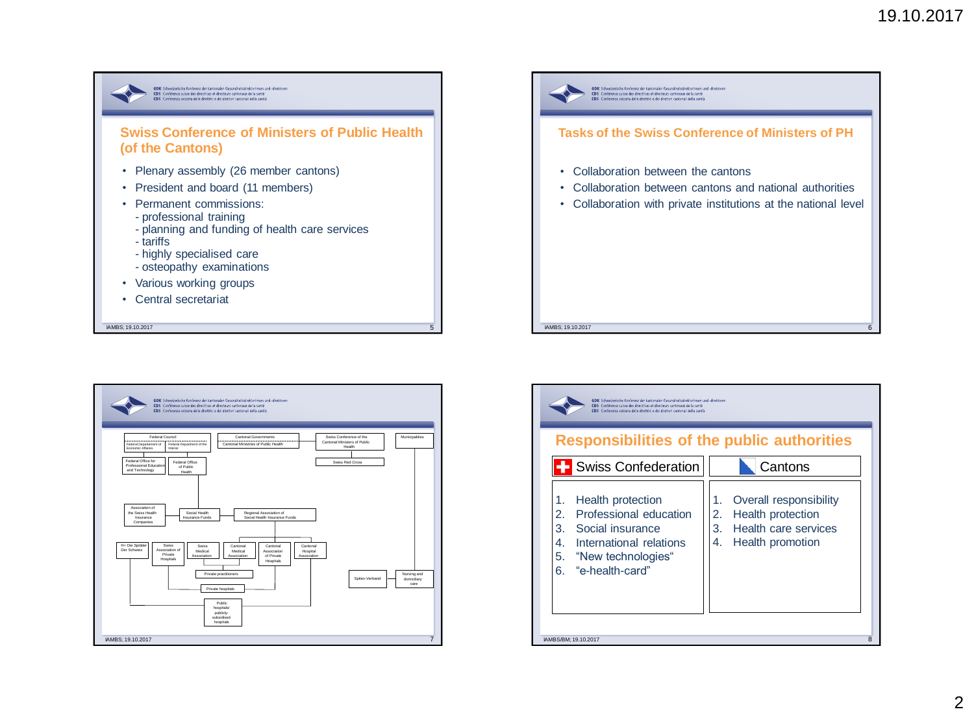



| GDK. Schweizerische Konferenz der kantorialen Gesundheitsdirektorinnen und "direktoren<br>Conférence suisse des directrices et directeurs cantonaux de la santé<br>CDS<br><b>CDS</b><br>Conferenza svizzera delle direttrici e dei direttori cantonali della sanità<br><b>Responsibilities of the public authorities</b> |                                                                                                                             |
|--------------------------------------------------------------------------------------------------------------------------------------------------------------------------------------------------------------------------------------------------------------------------------------------------------------------------|-----------------------------------------------------------------------------------------------------------------------------|
| <b>Swiss Confederation</b>                                                                                                                                                                                                                                                                                               | Cantons                                                                                                                     |
| Health protection<br>1.<br>Professional education<br>2.<br>Social insurance<br>3.<br>International relations<br>$4_{-}$<br>"New technologies"<br>5.<br>"e-health-card"<br>6.                                                                                                                                             | Overall responsibility<br>1.<br>Health protection<br>2.<br>Health care services<br>3 <sub>1</sub><br>Health promotion<br>4. |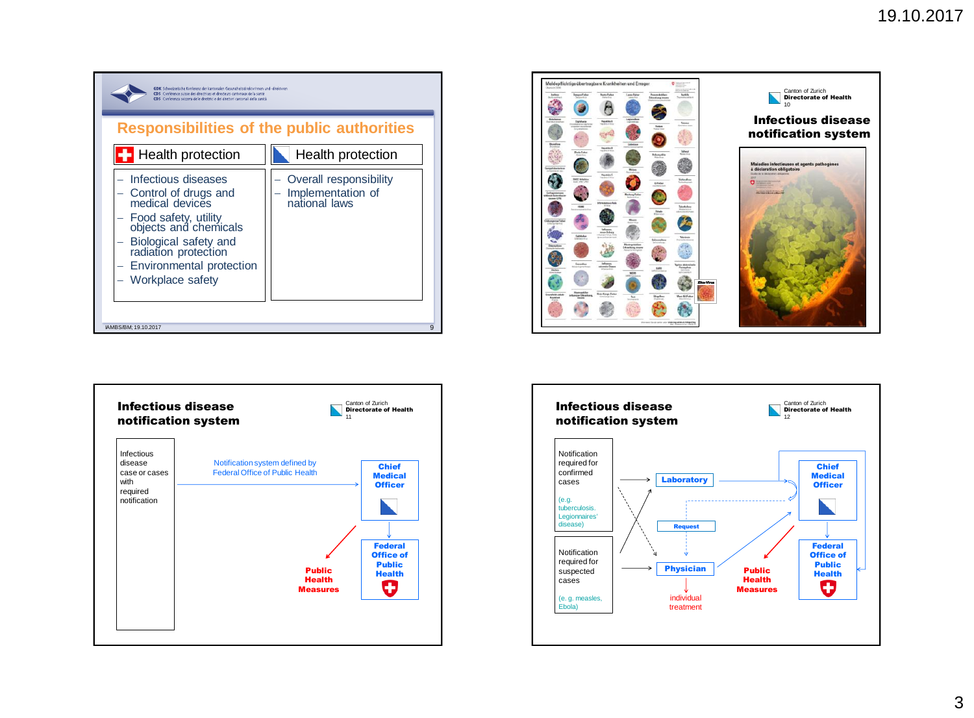





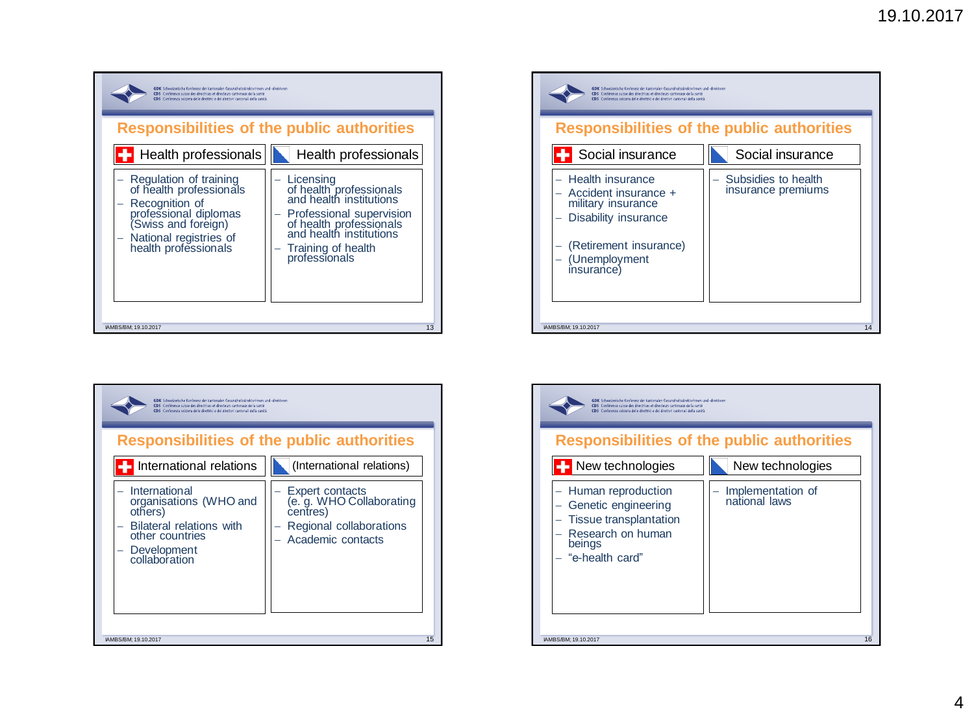

| GDK Schweizerische Konferenz der kantonalen Gesundheitsdirektorinnen und -direktoren<br>CDS Conférence suisse des directrices et directeurs cantonaux de la santé<br>CDS Conferenza svizzera delle direttrici e dei direttori cantonali della sanità |                                                                                                         |  |
|------------------------------------------------------------------------------------------------------------------------------------------------------------------------------------------------------------------------------------------------------|---------------------------------------------------------------------------------------------------------|--|
| <b>Responsibilities of the public authorities</b>                                                                                                                                                                                                    |                                                                                                         |  |
| International relations                                                                                                                                                                                                                              | (International relations)                                                                               |  |
| International<br>organisations (WHO and<br>others)<br><b>Bilateral relations with</b><br>other countries<br>Development<br>collaboration                                                                                                             | Expert contacts<br>(e. g. WHO Collaborating<br>centres)<br>Regional collaborations<br>Academic contacts |  |
| IAMBS/BM: 19.10.2017                                                                                                                                                                                                                                 | 15                                                                                                      |  |



| GDK Schweizerische Konferenz der kantonalen Gesuncheitsdirektorinnen und «direktoren<br>CDS Conférence suisse des directrices et directeurs cantonaux de la santé<br>cns<br>Conferenza svizzera delle direttrici e dei direttori cantonali della sanità<br><b>Responsibilities of the public authorities</b> |                                    |  |
|--------------------------------------------------------------------------------------------------------------------------------------------------------------------------------------------------------------------------------------------------------------------------------------------------------------|------------------------------------|--|
| New technologies                                                                                                                                                                                                                                                                                             | New technologies                   |  |
| - Human reproduction<br>Genetic engineering<br>Tissue transplantation<br>Research on human<br>beings<br>"e-health card"                                                                                                                                                                                      | Implementation of<br>national laws |  |